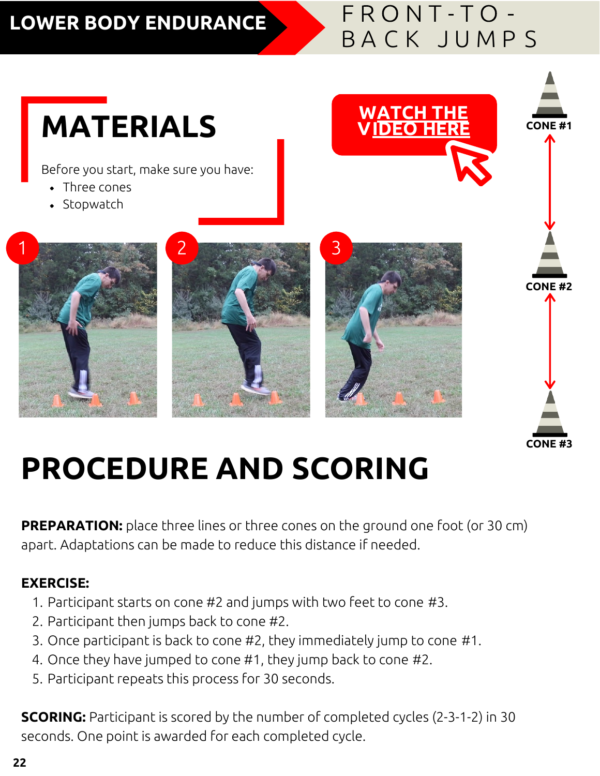#### **LOWER BODY ENDURANCE**

### FRONT-TO-B A C K J U M P S

# **MATERIALS WATCH THE CONE #1**

Before you start, make sure you have:

- Three cones
- $\bullet$  Stopwatch









## **PROCEDURE AND SCORING**

**PREPARATION:** place three lines or three cones on the ground one foot (or 30 cm) apart. Adaptations can be made to reduce this distance if needed.

#### **EXERCISE:**

- 1. Participant starts on cone #2 and jumps with two feet to cone #3.
- 2. Participant then jumps back to cone #2.
- 3. Once participant is back to cone #2, they immediately jump to cone #1.
- 4. Once they have jumped to cone #1, they jump back to cone #2.
- 5. Participant repeats this process for 30 seconds.

**SCORING:** Participant is scored by the number of completed cycles (2-3-1-2) in 30 seconds. One point is awarded for each completed cycle.